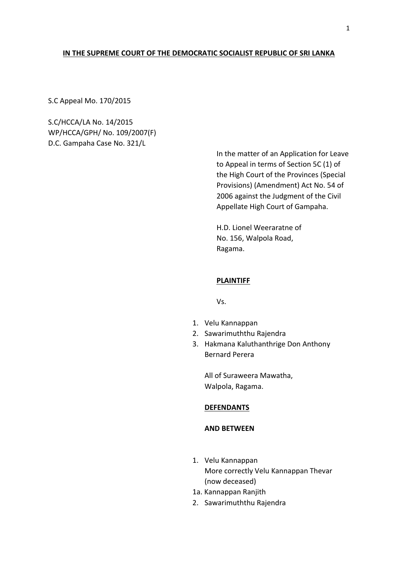# **IN THE SUPREME COURT OF THE DEMOCRATIC SOCIALIST REPUBLIC OF SRI LANKA**

S.C Appeal Mo. 170/2015

S.C/HCCA/LA No. 14/2015 WP/HCCA/GPH/ No. 109/2007(F) D.C. Gampaha Case No. 321/L

> In the matter of an Application for Leave to Appeal in terms of Section 5C (1) of the High Court of the Provinces (Special Provisions) (Amendment) Act No. 54 of 2006 against the Judgment of the Civil Appellate High Court of Gampaha.

H.D. Lionel Weeraratne of No. 156, Walpola Road, Ragama.

### **PLAINTIFF**

Vs.

- 1. Velu Kannappan
- 2. Sawarimuththu Rajendra
- 3. Hakmana Kaluthanthrige Don Anthony Bernard Perera

All of Suraweera Mawatha, Walpola, Ragama.

# **DEFENDANTS**

# **AND BETWEEN**

- 1. Velu Kannappan More correctly Velu Kannappan Thevar (now deceased)
- 1a. Kannappan Ranjith
- 2. Sawarimuththu Rajendra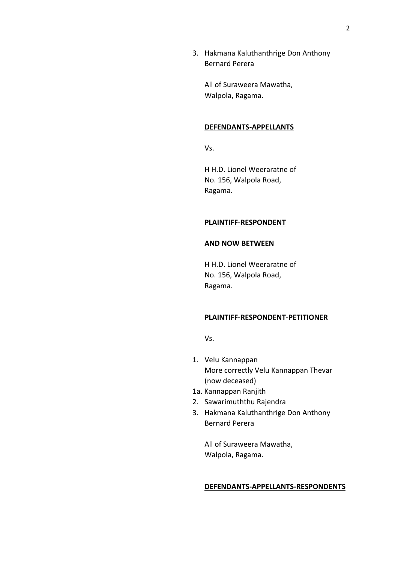3. Hakmana Kaluthanthrige Don Anthony Bernard Perera

All of Suraweera Mawatha, Walpola, Ragama.

#### **DEFENDANTS-APPELLANTS**

Vs.

H H.D. Lionel Weeraratne of No. 156, Walpola Road, Ragama.

# **PLAINTIFF-RESPONDENT**

#### **AND NOW BETWEEN**

H H.D. Lionel Weeraratne of No. 156, Walpola Road, Ragama.

#### **PLAINTIFF-RESPONDENT-PETITIONER**

Vs.

- 1. Velu Kannappan More correctly Velu Kannappan Thevar (now deceased)
- 1a. Kannappan Ranjith
- 2. Sawarimuththu Rajendra
- 3. Hakmana Kaluthanthrige Don Anthony Bernard Perera

All of Suraweera Mawatha, Walpola, Ragama.

### **DEFENDANTS-APPELLANTS-RESPONDENTS**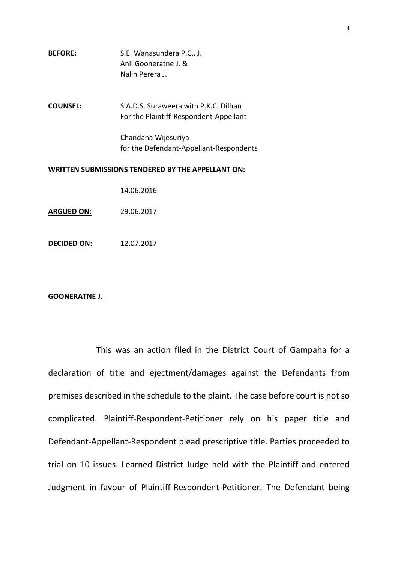| <b>BEFORE:</b> | S.E. Wanasundera P.C., J. |
|----------------|---------------------------|
|                | Anil Gooneratne J. &      |
|                | Nalin Perera J.           |

**COUNSEL:** S.A.D.S. Suraweera with P.K.C. Dilhan For the Plaintiff-Respondent-Appellant

> Chandana Wijesuriya for the Defendant-Appellant-Respondents

# **WRITTEN SUBMISSIONS TENDERED BY THE APPELLANT ON:**

14.06.2016

- **ARGUED ON:** 29.06.2017
- **DECIDED ON:** 12.07.2017

### **GOONERATNE J.**

This was an action filed in the District Court of Gampaha for a declaration of title and ejectment/damages against the Defendants from premises described in the schedule to the plaint. The case before court is not so complicated. Plaintiff-Respondent-Petitioner rely on his paper title and Defendant-Appellant-Respondent plead prescriptive title. Parties proceeded to trial on 10 issues. Learned District Judge held with the Plaintiff and entered Judgment in favour of Plaintiff-Respondent-Petitioner. The Defendant being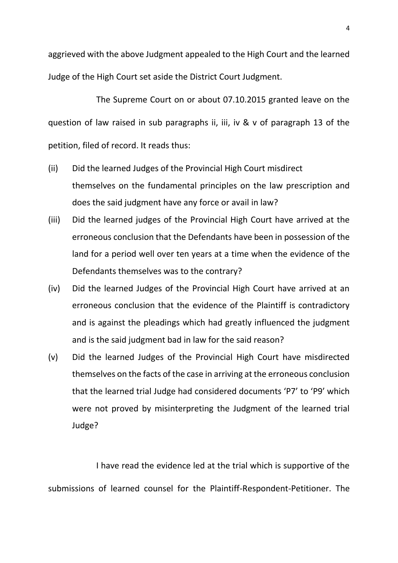aggrieved with the above Judgment appealed to the High Court and the learned Judge of the High Court set aside the District Court Judgment.

The Supreme Court on or about 07.10.2015 granted leave on the question of law raised in sub paragraphs ii, iii, iv & v of paragraph 13 of the petition, filed of record. It reads thus:

- (ii) Did the learned Judges of the Provincial High Court misdirect themselves on the fundamental principles on the law prescription and does the said judgment have any force or avail in law?
- (iii) Did the learned judges of the Provincial High Court have arrived at the erroneous conclusion that the Defendants have been in possession of the land for a period well over ten years at a time when the evidence of the Defendants themselves was to the contrary?
- (iv) Did the learned Judges of the Provincial High Court have arrived at an erroneous conclusion that the evidence of the Plaintiff is contradictory and is against the pleadings which had greatly influenced the judgment and is the said judgment bad in law for the said reason?
- (v) Did the learned Judges of the Provincial High Court have misdirected themselves on the facts of the case in arriving at the erroneous conclusion that the learned trial Judge had considered documents 'P7' to 'P9' which were not proved by misinterpreting the Judgment of the learned trial Judge?

I have read the evidence led at the trial which is supportive of the submissions of learned counsel for the Plaintiff-Respondent-Petitioner. The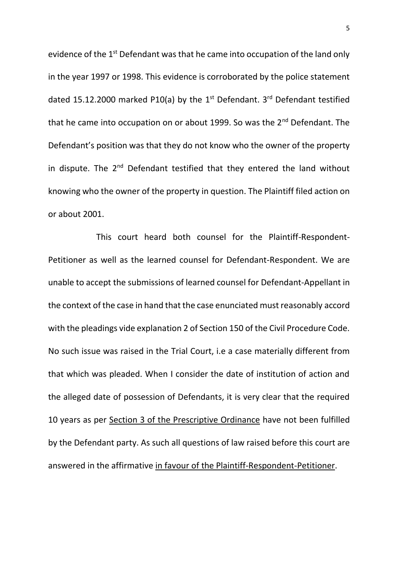evidence of the 1<sup>st</sup> Defendant was that he came into occupation of the land only in the year 1997 or 1998. This evidence is corroborated by the police statement dated 15.12.2000 marked P10(a) by the  $1^{st}$  Defendant. 3<sup>rd</sup> Defendant testified that he came into occupation on or about 1999. So was the 2<sup>nd</sup> Defendant. The Defendant's position was that they do not know who the owner of the property in dispute. The  $2^{nd}$  Defendant testified that they entered the land without knowing who the owner of the property in question. The Plaintiff filed action on or about 2001.

This court heard both counsel for the Plaintiff-Respondent-Petitioner as well as the learned counsel for Defendant-Respondent. We are unable to accept the submissions of learned counsel for Defendant-Appellant in the context of the case in hand that the case enunciated must reasonably accord with the pleadings vide explanation 2 of Section 150 of the Civil Procedure Code. No such issue was raised in the Trial Court, i.e a case materially different from that which was pleaded. When I consider the date of institution of action and the alleged date of possession of Defendants, it is very clear that the required 10 years as per Section 3 of the Prescriptive Ordinance have not been fulfilled by the Defendant party. As such all questions of law raised before this court are answered in the affirmative in favour of the Plaintiff-Respondent-Petitioner.